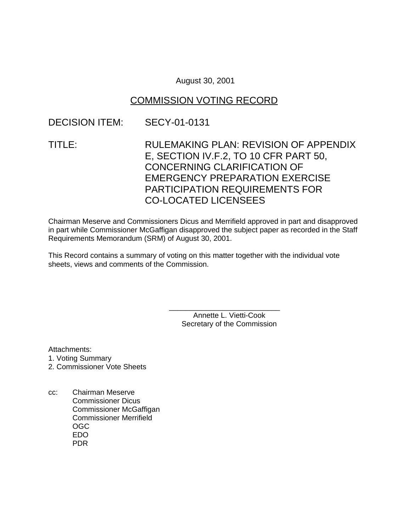### August 30, 2001

# COMMISSION VOTING RECORD

# DECISION ITEM: SECY-01-0131

TITLE: RULEMAKING PLAN: REVISION OF APPENDIX E, SECTION IV.F.2, TO 10 CFR PART 50, CONCERNING CLARIFICATION OF EMERGENCY PREPARATION EXERCISE PARTICIPATION REQUIREMENTS FOR CO-LOCATED LICENSEES

Chairman Meserve and Commissioners Dicus and Merrifield approved in part and disapproved in part while Commissioner McGaffigan disapproved the subject paper as recorded in the Staff Requirements Memorandum (SRM) of August 30, 2001.

This Record contains a summary of voting on this matter together with the individual vote sheets, views and comments of the Commission.

> Annette L. Vietti-Cook Secretary of the Commission

\_\_\_\_\_\_\_\_\_\_\_\_\_\_\_\_\_\_\_\_\_\_\_\_\_\_\_

Attachments:

- 1. Voting Summary
- 2. Commissioner Vote Sheets
- cc: Chairman Meserve Commissioner Dicus Commissioner McGaffigan Commissioner Merrifield OGC EDO PDR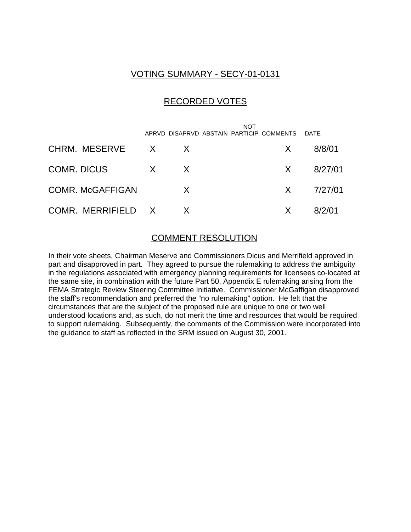### VOTING SUMMARY - SECY-01-0131

### RECORDED VOTES

|                         |              |              | NOT<br>APRVD DISAPRVD ABSTAIN PARTICIP COMMENTS |              | <b>DATF</b> |
|-------------------------|--------------|--------------|-------------------------------------------------|--------------|-------------|
| CHRM. MESERVE X         |              | X            |                                                 | X.           | 8/8/01      |
| <b>COMR. DICUS</b>      | $\mathsf{X}$ | $\mathsf{X}$ |                                                 | X —          | 8/27/01     |
| <b>COMR. McGAFFIGAN</b> |              | $\mathsf{X}$ |                                                 | $X \sim$     | 7/27/01     |
| COMR. MERRIFIELD X      |              | X            |                                                 | $\mathsf{X}$ | 8/2/01      |

### COMMENT RESOLUTION

In their vote sheets, Chairman Meserve and Commissioners Dicus and Merrifield approved in part and disapproved in part. They agreed to pursue the rulemaking to address the ambiguity in the regulations associated with emergency planning requirements for licensees co-located at the same site, in combination with the future Part 50, Appendix E rulemaking arising from the FEMA Strategic Review Steering Committee Initiative. Commissioner McGaffigan disapproved the staff's recommendation and preferred the "no rulemaking" option. He felt that the circumstances that are the subject of the proposed rule are unique to one or two well understood locations and, as such, do not merit the time and resources that would be required to support rulemaking. Subsequently, the comments of the Commission were incorporated into the guidance to staff as reflected in the SRM issued on August 30, 2001.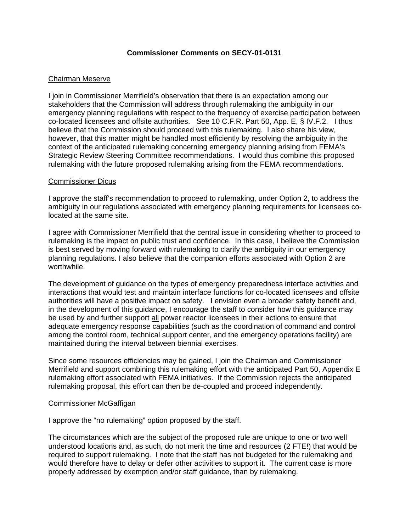### **Commissioner Comments on SECY-01-0131**

#### Chairman Meserve

I join in Commissioner Merrifield's observation that there is an expectation among our stakeholders that the Commission will address through rulemaking the ambiguity in our emergency planning regulations with respect to the frequency of exercise participation between co-located licensees and offsite authorities. See 10 C.F.R. Part 50, App. E, § IV.F.2. I thus believe that the Commission should proceed with this rulemaking. I also share his view, however, that this matter might be handled most efficiently by resolving the ambiguity in the context of the anticipated rulemaking concerning emergency planning arising from FEMA's Strategic Review Steering Committee recommendations. I would thus combine this proposed rulemaking with the future proposed rulemaking arising from the FEMA recommendations.

#### Commissioner Dicus

I approve the staff's recommendation to proceed to rulemaking, under Option 2, to address the ambiguity in our regulations associated with emergency planning requirements for licensees colocated at the same site.

I agree with Commissioner Merrifield that the central issue in considering whether to proceed to rulemaking is the impact on public trust and confidence. In this case, I believe the Commission is best served by moving forward with rulemaking to clarify the ambiguity in our emergency planning regulations. I also believe that the companion efforts associated with Option 2 are worthwhile.

The development of guidance on the types of emergency preparedness interface activities and interactions that would test and maintain interface functions for co-located licensees and offsite authorities will have a positive impact on safety. I envision even a broader safety benefit and, in the development of this guidance, I encourage the staff to consider how this guidance may be used by and further support all power reactor licensees in their actions to ensure that adequate emergency response capabilities (such as the coordination of command and control among the control room, technical support center, and the emergency operations facility) are maintained during the interval between biennial exercises.

Since some resources efficiencies may be gained, I join the Chairman and Commissioner Merrifield and support combining this rulemaking effort with the anticipated Part 50, Appendix E rulemaking effort associated with FEMA initiatives. If the Commission rejects the anticipated rulemaking proposal, this effort can then be de-coupled and proceed independently.

#### Commissioner McGaffigan

I approve the "no rulemaking" option proposed by the staff.

The circumstances which are the subject of the proposed rule are unique to one or two well understood locations and, as such, do not merit the time and resources (2 FTE!) that would be required to support rulemaking. I note that the staff has not budgeted for the rulemaking and would therefore have to delay or defer other activities to support it. The current case is more properly addressed by exemption and/or staff guidance, than by rulemaking.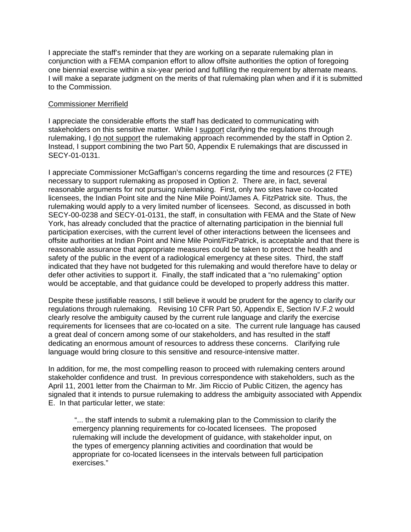I appreciate the staff's reminder that they are working on a separate rulemaking plan in conjunction with a FEMA companion effort to allow offsite authorities the option of foregoing one biennial exercise within a six-year period and fulfilling the requirement by alternate means. I will make a separate judgment on the merits of that rulemaking plan when and if it is submitted to the Commission.

#### Commissioner Merrifield

I appreciate the considerable efforts the staff has dedicated to communicating with stakeholders on this sensitive matter. While I support clarifying the regulations through rulemaking, I do not support the rulemaking approach recommended by the staff in Option 2. Instead, I support combining the two Part 50, Appendix E rulemakings that are discussed in SECY-01-0131.

I appreciate Commissioner McGaffigan's concerns regarding the time and resources (2 FTE) necessary to support rulemaking as proposed in Option 2. There are, in fact, several reasonable arguments for not pursuing rulemaking. First, only two sites have co-located licensees, the Indian Point site and the Nine Mile Point/James A. FitzPatrick site. Thus, the rulemaking would apply to a very limited number of licensees. Second, as discussed in both SECY-00-0238 and SECY-01-0131, the staff, in consultation with FEMA and the State of New York, has already concluded that the practice of alternating participation in the biennial full participation exercises, with the current level of other interactions between the licensees and offsite authorities at Indian Point and Nine Mile Point/FitzPatrick, is acceptable and that there is reasonable assurance that appropriate measures could be taken to protect the health and safety of the public in the event of a radiological emergency at these sites. Third, the staff indicated that they have not budgeted for this rulemaking and would therefore have to delay or defer other activities to support it. Finally, the staff indicated that a "no rulemaking" option would be acceptable, and that guidance could be developed to properly address this matter.

Despite these justifiable reasons, I still believe it would be prudent for the agency to clarify our regulations through rulemaking. Revising 10 CFR Part 50, Appendix E, Section IV.F.2 would clearly resolve the ambiguity caused by the current rule language and clarify the exercise requirements for licensees that are co-located on a site. The current rule language has caused a great deal of concern among some of our stakeholders, and has resulted in the staff dedicating an enormous amount of resources to address these concerns. Clarifying rule language would bring closure to this sensitive and resource-intensive matter.

In addition, for me, the most compelling reason to proceed with rulemaking centers around stakeholder confidence and trust. In previous correspondence with stakeholders, such as the April 11, 2001 letter from the Chairman to Mr. Jim Riccio of Public Citizen, the agency has signaled that it intends to pursue rulemaking to address the ambiguity associated with Appendix E. In that particular letter, we state:

 "... the staff intends to submit a rulemaking plan to the Commission to clarify the emergency planning requirements for co-located licensees. The proposed rulemaking will include the development of guidance, with stakeholder input, on the types of emergency planning activities and coordination that would be appropriate for co-located licensees in the intervals between full participation exercises."